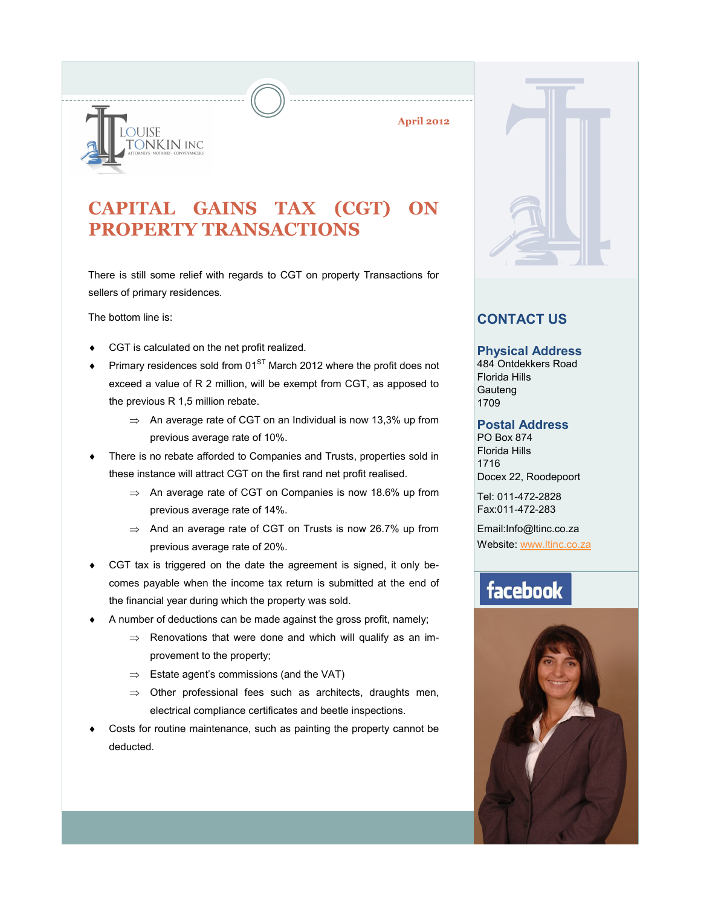

**April 2012**

### **CAPITAL GAINS TAX (CGT) ON PROPERTY TRANSACTIONS**

There is still some relief with regards to CGT on property Transactions for sellers of primary residences.

The bottom line is:

- CGT is calculated on the net profit realized.
- Primary residences sold from  $01<sup>ST</sup>$  March 2012 where the profit does not exceed a value of R 2 million, will be exempt from CGT, as apposed to the previous R 1,5 million rebate.
	- $\Rightarrow$  An average rate of CGT on an Individual is now 13,3% up from previous average rate of 10%.
- There is no rebate afforded to Companies and Trusts, properties sold in these instance will attract CGT on the first rand net profit realised.
	- $\Rightarrow$  An average rate of CGT on Companies is now 18.6% up from previous average rate of 14%.
	- $\Rightarrow$  And an average rate of CGT on Trusts is now 26.7% up from previous average rate of 20%.
- CGT tax is triggered on the date the agreement is signed, it only becomes payable when the income tax return is submitted at the end of the financial year during which the property was sold.
- A number of deductions can be made against the gross profit, namely;
	- $\Rightarrow$  Renovations that were done and which will qualify as an improvement to the property;
	- $\Rightarrow$  Estate agent's commissions (and the VAT)
	- $\Rightarrow$  Other professional fees such as architects, draughts men, electrical compliance certificates and beetle inspections.
- Costs for routine maintenance, such as painting the property cannot be deducted.



### **CONTACT US**

#### **Physical Address**

484 Ontdekkers Road Florida Hills **Gauteng** 1709

#### **Postal Address**

PO Box 874 Florida Hills 1716 Docex 22, Roodepoort

Tel: 011-472-2828 Fax:011-472-283

Email:Info@ltinc.co.za Website: [www.ltinc.co.za](http://www.btjs.co.za/)

## facebook